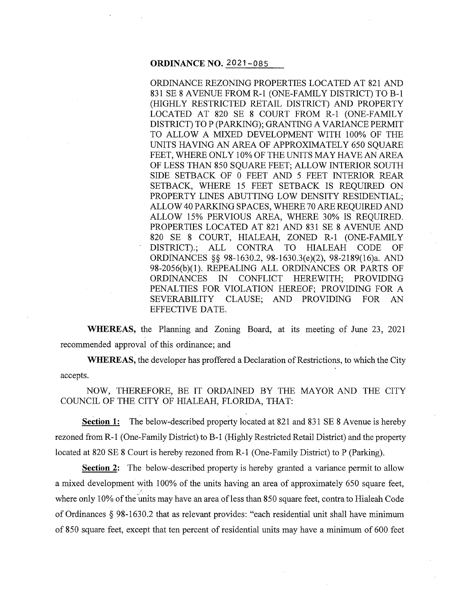#### **ORDINANCE NO.** 2021-085

ORDINANCE REZONING PROPERTIES LOCATED AT 821 AND 831 SE 8 AVENUE FROM R-1 (ONE-FAMILY DISTRICT) TO B-1 (HIGHLY RESTRICTED RETAIL DISTRICT) AND PROPERTY LOCATED AT 820 SE 8 COURT FROM R-1 (ONE-FAMILY DISTRICT) TO P (PARKING); GRANTING A VARIANCE PERMIT TO ALLOW A MIXED DEVELOPMENT WITH 100% OF THE UNITS HAVING AN AREA OF APPROXIMATELY 650 SOUARE FEET, WHERE ONLY 10% OF THE UNITS MAY HAVE AN AREA OF LESS THAN 850 SQUARE FEET; ALLOW INTERIOR SOUTH SIDE SETBACK OF 0 FEET AND 5 FEET INTERIOR REAR SETBACK, WHERE 15 FEET SETBACK IS REQUIRED ON PROPERTY LINES ABUTTING LOW DENSITY RESIDENTIAL; ALLOW 40 PARKING SPACES, WHERE 70 ARE REQUIRED AND ALLOW 15% PERVIOUS AREA, WHERE 30% IS REQUIRED. PROPERTIES LOCATED AT 821 AND 831 SE 8 AVENUE AND 820 SE 8 COURT, HIALEAH, ZONED R-1 (ONE-FAMILY DISTRICT).; ALL CONTRA TO HIALEAH CODE OF ORDINANCES §§ 98-1630.2, 98-1630.3(e)(2), 98-2189(16)a. AND 98-2056(b)(l). REPEALING ALL ORDINANCES OR PARTS OF ORDINANCES IN CONFLICT HEREWITH; PROVIDING PENALTIES FOR VIOLATION HEREOF; PROVIDING FOR A SEVERABILITY CLAUSE; AND PROVIDING FOR AN EFFECTIVE DATE.

**WHEREAS,** the Planning and Zoning Board, at its meeting of June 23, 2021 recommended approval of this ordinance; and

**WHEREAS,** the developer has proffered a Declaration of Restrictions, to which the City accepts.

NOW, THEREFORE, BE IT ORDAINED BY THE MAYOR AND THE CITY COUNCIL OF THE CITY OF HIALEAH, FLORIDA, THAT:

**Section 1:** The below-described property located at 821 and 831 SE 8 Avenue is hereby rezoned from R-1 (One-Family District) to B-1 (Highly Restricted Retail District) and the property located at 820 SE 8 Court is hereby rezoned from R-1 (One-Family District) to P (Parking).

**Section 2:** The below-described property is hereby granted a variance permit to allow a mixed development with 100% of the units having an area of approximately 650 square feet, where only 10% of the units may have an area of less than 850 square feet, contra to Hialeah Code of Ordinances § 98-1630.2 that as relevant provides: "each residential unit shall have minimum of 850 square feet, except that ten percent of residential units may have a minimum of 600 feet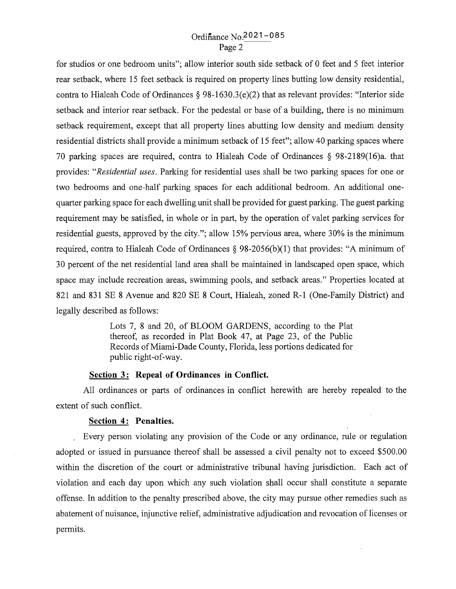# Ordinance No. 2021-085 Page 2

for studios or one bedroom units"; allow interior south side setback of 0 feet and 5 feet interior rear setback, where 15 feet setback is required on property lines butting low density residential, contra to Hialeah Code of Ordinances § 98-1630.3(e)(2) that as relevant provides: "Interior side setback and interior rear setback. For the pedestal or base of a building, there is no minimum setback requirement, except that all property lines abutting low density and medium density residential districts shall provide a minimum setback of 15 feet"; allow 40 parking spaces where 70 parking spaces are required, contra to Hialeah Code of Ordinances § 98-2189(16)a. that provides: *"Residential uses.* Parking for residential uses shall be two parking spaces for one or two bedrooms and one-half parking spaces for each additional bedroom. An additional onequarter parking space for each dwelling unit shall be provided for guest parking. The guest parking requirement may be satisfied, in whole or in part, by the operation of valet parking services for residential guests, approved by the city."; allow 15% pervious area, where 30% is the minimum required, contra to Hialeah Code of Ordinances  $\S$  98-2056(b)(1) that provides: "A minimum of 30 percent of the net residential land area shall be maintained in landscaped open space, which space may include recreation areas, swimming pools, and setback areas." Properties located at 821 and 831 SE 8 Avenue and 820 SE 8 Court, Hialeah, zoned R-1 (One-Family District) and legally described as follows:

> Lots 7, 8 and 20, of BLOOM GARDENS, according to the Plat thereof, as recorded in Plat Book 47, at Page 23, of the Public Records of Miami-Dade County, Florida, less portions dedicated for public right-of-way.

### **<u>Section</u> 3: Repeal of Ordinances in Conflict.**

All ordinances or parts of ordinances in conflict herewith are hereby repealed to the extent of such conflict.

#### **Section 4: Penalties.**

Every person violating any provision of the Code or any ordinance, rule or regulation adopted or issued in pursuance thereof shall be assessed a civil penalty not to exceed \$500.00 within the discretion of the court or administrative tribunal having jurisdiction. Each act of violation and each day upon which any such violation shall occur shall constitute a separate offense. In addition to the penalty prescribed above, the city may pursue other remedies such as abatement of nuisance, injunctive relief, administrative adjudication and revocation of licenses or permits.